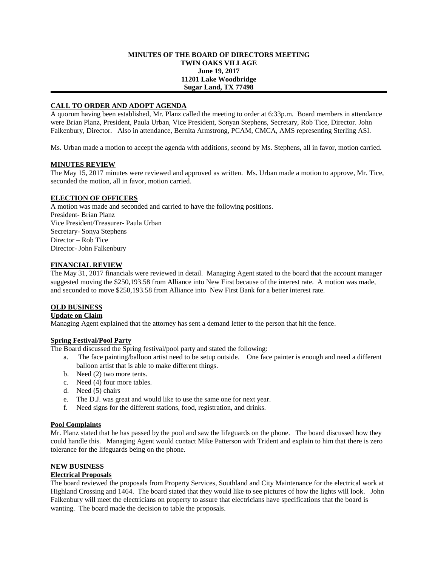#### **MINUTES OF THE BOARD OF DIRECTORS MEETING TWIN OAKS VILLAGE June 19, 2017 11201 Lake Woodbridge Sugar Land, TX 77498**

## **CALL TO ORDER AND ADOPT AGENDA**

A quorum having been established, Mr. Planz called the meeting to order at 6:33p.m. Board members in attendance were Brian Planz, President, Paula Urban, Vice President, Sonyan Stephens, Secretary, Rob Tice, Director. John Falkenbury, Director. Also in attendance, Bernita Armstrong, PCAM, CMCA, AMS representing Sterling ASI.

Ms. Urban made a motion to accept the agenda with additions, second by Ms. Stephens, all in favor, motion carried.

#### **MINUTES REVIEW**

The May 15, 2017 minutes were reviewed and approved as written. Ms. Urban made a motion to approve, Mr. Tice, seconded the motion, all in favor, motion carried.

#### **ELECTION OF OFFICERS**

A motion was made and seconded and carried to have the following positions. President- Brian Planz Vice President/Treasurer- Paula Urban Secretary- Sonya Stephens Director – Rob Tice Director- John Falkenbury

## **FINANCIAL REVIEW**

The May 31, 2017 financials were reviewed in detail. Managing Agent stated to the board that the account manager suggested moving the \$250,193.58 from Alliance into New First because of the interest rate. A motion was made, and seconded to move \$250,193.58 from Alliance into New First Bank for a better interest rate.

# **OLD BUSINESS**

**Update on Claim**

Managing Agent explained that the attorney has sent a demand letter to the person that hit the fence.

## **Spring Festival/Pool Party**

The Board discussed the Spring festival/pool party and stated the following:

- a. The face painting/balloon artist need to be setup outside. One face painter is enough and need a different balloon artist that is able to make different things.
- b. Need (2) two more tents.
- c. Need (4) four more tables.
- d. Need (5) chairs
- e. The D.J. was great and would like to use the same one for next year.
- f. Need signs for the different stations, food, registration, and drinks.

## **Pool Complaints**

Mr. Planz stated that he has passed by the pool and saw the lifeguards on the phone. The board discussed how they could handle this. Managing Agent would contact Mike Patterson with Trident and explain to him that there is zero tolerance for the lifeguards being on the phone.

#### **NEW BUSINESS**

#### **Electrical Proposals**

The board reviewed the proposals from Property Services, Southland and City Maintenance for the electrical work at Highland Crossing and 1464. The board stated that they would like to see pictures of how the lights will look. John Falkenbury will meet the electricians on property to assure that electricians have specifications that the board is wanting. The board made the decision to table the proposals.